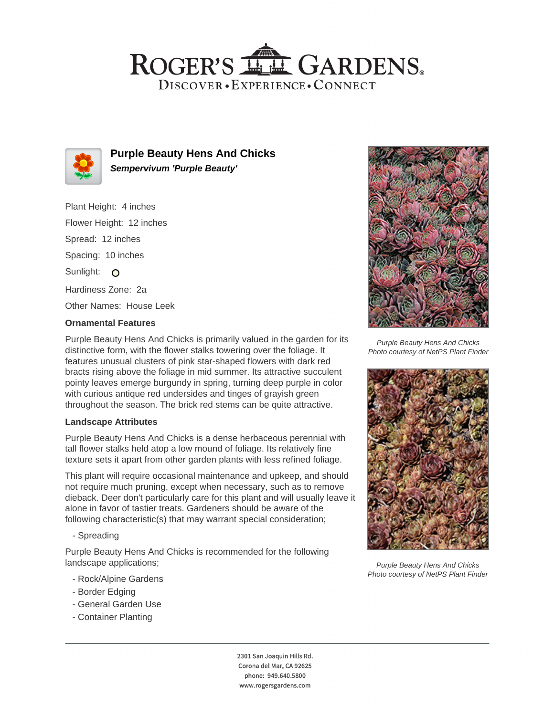# ROGER'S LL GARDENS. DISCOVER · EXPERIENCE · CONNECT



**Purple Beauty Hens And Chicks Sempervivum 'Purple Beauty'**

Plant Height: 4 inches Flower Height: 12 inches Spread: 12 inches Spacing: 10 inches Sunlight: O Hardiness Zone: 2a Other Names: House Leek

## **Ornamental Features**

Purple Beauty Hens And Chicks is primarily valued in the garden for its distinctive form, with the flower stalks towering over the foliage. It features unusual clusters of pink star-shaped flowers with dark red bracts rising above the foliage in mid summer. Its attractive succulent pointy leaves emerge burgundy in spring, turning deep purple in color with curious antique red undersides and tinges of grayish green throughout the season. The brick red stems can be quite attractive.

### **Landscape Attributes**

Purple Beauty Hens And Chicks is a dense herbaceous perennial with tall flower stalks held atop a low mound of foliage. Its relatively fine texture sets it apart from other garden plants with less refined foliage.

This plant will require occasional maintenance and upkeep, and should not require much pruning, except when necessary, such as to remove dieback. Deer don't particularly care for this plant and will usually leave it alone in favor of tastier treats. Gardeners should be aware of the following characteristic(s) that may warrant special consideration;

- Spreading

Purple Beauty Hens And Chicks is recommended for the following landscape applications;

- Rock/Alpine Gardens
- Border Edging
- General Garden Use
- Container Planting





Purple Beauty Hens And Chicks Photo courtesy of NetPS Plant Finder